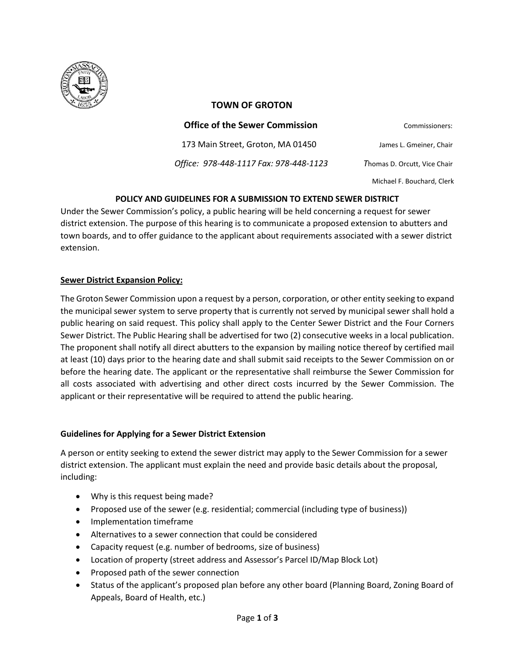

## **TOWN OF GROTON**

| Commissioners:               | <b>Office of the Sewer Commission</b>  |
|------------------------------|----------------------------------------|
| James L. Gmeiner, Chair      | 173 Main Street, Groton, MA 01450      |
| Thomas D. Orcutt, Vice Chair | Office: 978-448-1117 Fax: 978-448-1123 |
| Michael F. Bouchard, Clerk   |                                        |

# **POLICY AND GUIDELINES FOR A SUBMISSION TO EXTEND SEWER DISTRICT**

Under the Sewer Commission's policy, a public hearing will be held concerning a request for sewer district extension. The purpose of this hearing is to communicate a proposed extension to abutters and town boards, and to offer guidance to the applicant about requirements associated with a sewer district extension.

## **Sewer District Expansion Policy:**

The Groton Sewer Commission upon a request by a person, corporation, or other entity seeking to expand the municipal sewer system to serve property that is currently not served by municipal sewer shall hold a public hearing on said request. This policy shall apply to the Center Sewer District and the Four Corners Sewer District. The Public Hearing shall be advertised for two (2) consecutive weeks in a local publication. The proponent shall notify all direct abutters to the expansion by mailing notice thereof by certified mail at least (10) days prior to the hearing date and shall submit said receipts to the Sewer Commission on or before the hearing date. The applicant or the representative shall reimburse the Sewer Commission for all costs associated with advertising and other direct costs incurred by the Sewer Commission. The applicant or their representative will be required to attend the public hearing.

### **Guidelines for Applying for a Sewer District Extension**

A person or entity seeking to extend the sewer district may apply to the Sewer Commission for a sewer district extension. The applicant must explain the need and provide basic details about the proposal, including:

- Why is this request being made?
- Proposed use of the sewer (e.g. residential; commercial (including type of business))
- Implementation timeframe
- Alternatives to a sewer connection that could be considered
- Capacity request (e.g. number of bedrooms, size of business)
- Location of property (street address and Assessor's Parcel ID/Map Block Lot)
- Proposed path of the sewer connection
- Status of the applicant's proposed plan before any other board (Planning Board, Zoning Board of Appeals, Board of Health, etc.)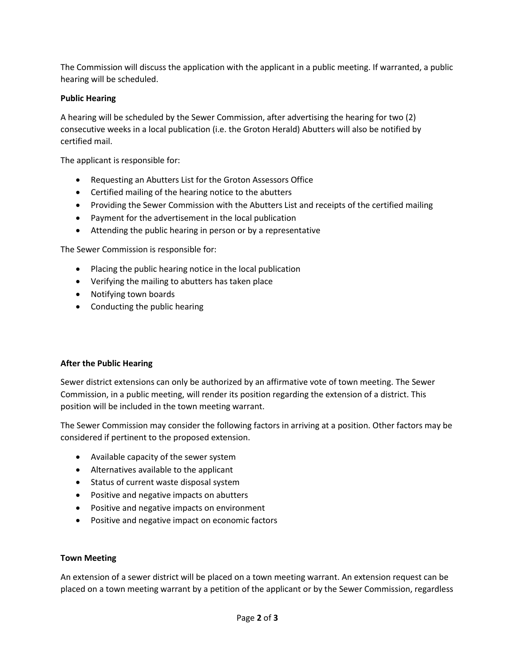The Commission will discuss the application with the applicant in a public meeting. If warranted, a public hearing will be scheduled.

# **Public Hearing**

A hearing will be scheduled by the Sewer Commission, after advertising the hearing for two (2) consecutive weeks in a local publication (i.e. the Groton Herald) Abutters will also be notified by certified mail.

The applicant is responsible for:

- Requesting an Abutters List for the Groton Assessors Office
- Certified mailing of the hearing notice to the abutters
- Providing the Sewer Commission with the Abutters List and receipts of the certified mailing
- Payment for the advertisement in the local publication
- Attending the public hearing in person or by a representative

The Sewer Commission is responsible for:

- Placing the public hearing notice in the local publication
- Verifying the mailing to abutters has taken place
- Notifying town boards
- Conducting the public hearing

### **After the Public Hearing**

Sewer district extensions can only be authorized by an affirmative vote of town meeting. The Sewer Commission, in a public meeting, will render its position regarding the extension of a district. This position will be included in the town meeting warrant.

The Sewer Commission may consider the following factors in arriving at a position. Other factors may be considered if pertinent to the proposed extension.

- Available capacity of the sewer system
- Alternatives available to the applicant
- Status of current waste disposal system
- Positive and negative impacts on abutters
- Positive and negative impacts on environment
- Positive and negative impact on economic factors

### **Town Meeting**

An extension of a sewer district will be placed on a town meeting warrant. An extension request can be placed on a town meeting warrant by a petition of the applicant or by the Sewer Commission, regardless